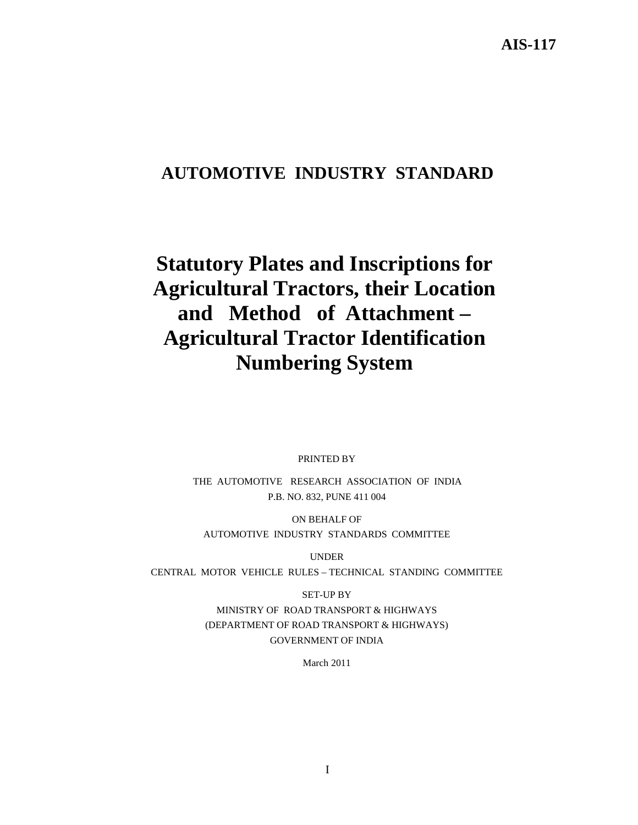## **AUTOMOTIVE INDUSTRY STANDARD**

# **Statutory Plates and Inscriptions for Agricultural Tractors, their Location and Method of Attachment – Agricultural Tractor Identification Numbering System**

PRINTED BY

THE AUTOMOTIVE RESEARCH ASSOCIATION OF INDIA P.B. NO. 832, PUNE 411 004

ON BEHALF OF AUTOMOTIVE INDUSTRY STANDARDS COMMITTEE

UNDER

CENTRAL MOTOR VEHICLE RULES – TECHNICAL STANDING COMMITTEE

SET-UP BY

MINISTRY OF ROAD TRANSPORT & HIGHWAYS (DEPARTMENT OF ROAD TRANSPORT & HIGHWAYS) GOVERNMENT OF INDIA

March 2011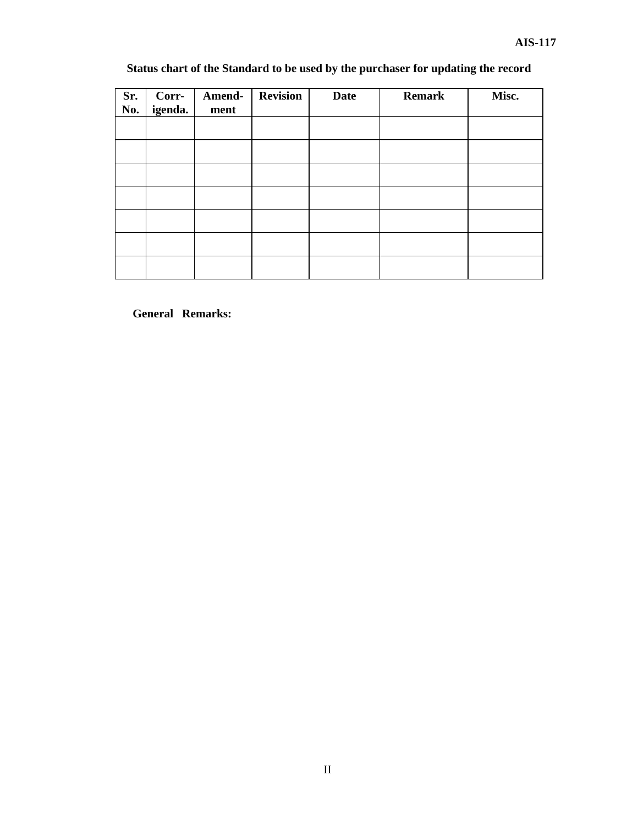## **Status chart of the Standard to be used by the purchaser for updating the record**

| Sr.<br>No. | Corr-<br>igenda. | Amend-<br>ment | <b>Revision</b> | <b>Date</b> | <b>Remark</b> | Misc. |
|------------|------------------|----------------|-----------------|-------------|---------------|-------|
|            |                  |                |                 |             |               |       |
|            |                  |                |                 |             |               |       |
|            |                  |                |                 |             |               |       |
|            |                  |                |                 |             |               |       |
|            |                  |                |                 |             |               |       |
|            |                  |                |                 |             |               |       |
|            |                  |                |                 |             |               |       |

**General Remarks:**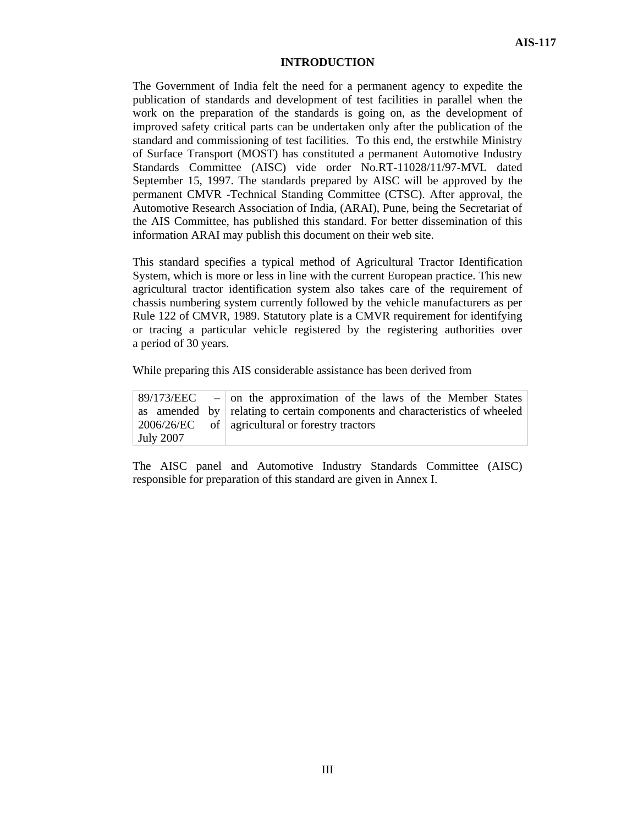#### **INTRODUCTION**

The Government of India felt the need for a permanent agency to expedite the publication of standards and development of test facilities in parallel when the work on the preparation of the standards is going on, as the development of improved safety critical parts can be undertaken only after the publication of the standard and commissioning of test facilities. To this end, the erstwhile Ministry of Surface Transport (MOST) has constituted a permanent Automotive Industry Standards Committee (AISC) vide order No.RT-11028/11/97-MVL dated September 15, 1997. The standards prepared by AISC will be approved by the permanent CMVR -Technical Standing Committee (CTSC). After approval, the Automotive Research Association of India, (ARAI), Pune, being the Secretariat of the AIS Committee, has published this standard. For better dissemination of this information ARAI may publish this document on their web site.

This standard specifies a typical method of Agricultural Tractor Identification System, which is more or less in line with the current European practice. This new agricultural tractor identification system also takes care of the requirement of chassis numbering system currently followed by the vehicle manufacturers as per Rule 122 of CMVR, 1989. Statutory plate is a CMVR requirement for identifying or tracing a particular vehicle registered by the registering authorities over a period of 30 years.

While preparing this AIS considerable assistance has been derived from

|                  | $89/173/EEC$ – on the approximation of the laws of the Member States        |
|------------------|-----------------------------------------------------------------------------|
|                  | as amended by relating to certain components and characteristics of wheeled |
|                  | $2006/26/EC$ of   agricultural or forestry tractors                         |
| <b>July 2007</b> |                                                                             |

The AISC panel and Automotive Industry Standards Committee (AISC) responsible for preparation of this standard are given in Annex I.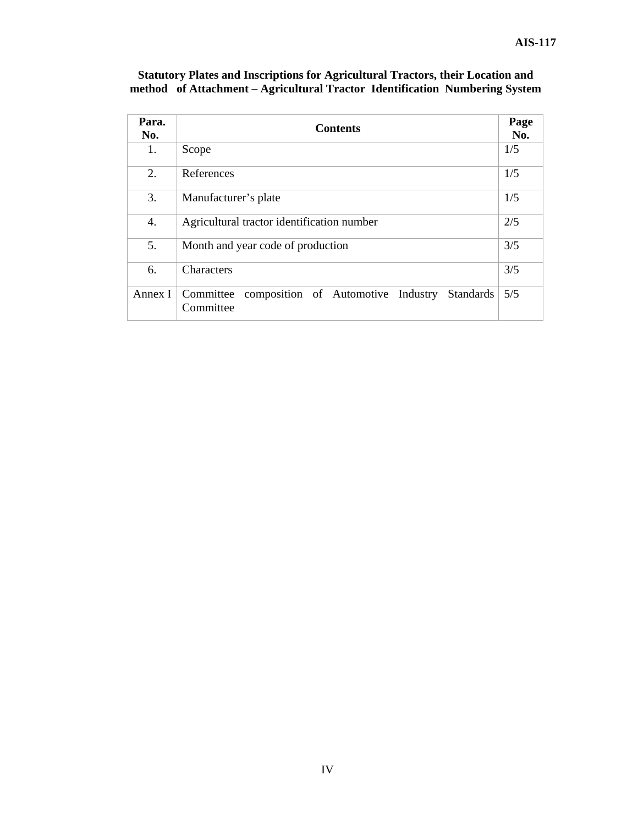| Para.<br>No. | <b>Contents</b>                                                               |     |  |
|--------------|-------------------------------------------------------------------------------|-----|--|
| 1.           | Scope                                                                         | 1/5 |  |
| 2.           | References                                                                    | 1/5 |  |
| 3.           | Manufacturer's plate                                                          | 1/5 |  |
| 4.           | Agricultural tractor identification number                                    | 2/5 |  |
| 5.           | Month and year code of production                                             | 3/5 |  |
| 6.           | <b>Characters</b>                                                             | 3/5 |  |
| Annex I      | Committee composition of Automotive Industry<br><b>Standards</b><br>Committee | 5/5 |  |

#### **Statutory Plates and Inscriptions for Agricultural Tractors, their Location and method of Attachment – Agricultural Tractor Identification Numbering System**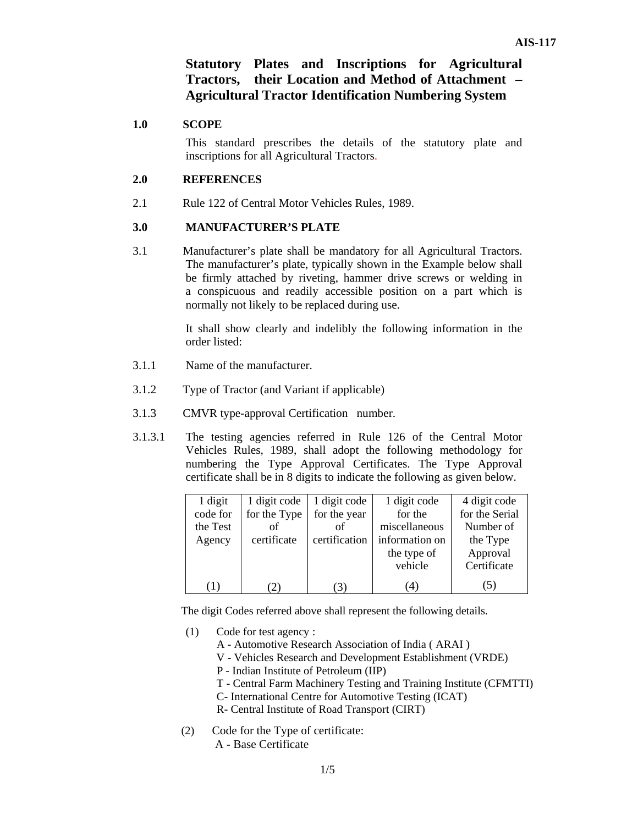## **Statutory Plates and Inscriptions for Agricultural Tractors, their Location and Method of Attachment – Agricultural Tractor Identification Numbering System**

#### **1.0 SCOPE**

 This standard prescribes the details of the statutory plate and inscriptions for all Agricultural Tractors.

#### **2.0 REFERENCES**

2.1 Rule 122 of Central Motor Vehicles Rules, 1989.

#### **3.0 MANUFACTURER'S PLATE**

3.1 Manufacturer's plate shall be mandatory for all Agricultural Tractors. The manufacturer's plate, typically shown in the Example below shall be firmly attached by riveting, hammer drive screws or welding in a conspicuous and readily accessible position on a part which is normally not likely to be replaced during use.

> It shall show clearly and indelibly the following information in the order listed:

- 3.1.1 Name of the manufacturer.
- 3.1.2 Type of Tractor (and Variant if applicable)
- 3.1.3 CMVR type-approval Certification number.
- 3.1.3.1 The testing agencies referred in Rule 126 of the Central Motor Vehicles Rules, 1989, shall adopt the following methodology for numbering the Type Approval Certificates. The Type Approval certificate shall be in 8 digits to indicate the following as given below.

| 1 digit  | 1 digit code | 1 digit code  | 1 digit code   | 4 digit code   |
|----------|--------------|---------------|----------------|----------------|
| code for | for the Type | for the year  | for the        | for the Serial |
| the Test | οf           | οf            | miscellaneous  | Number of      |
| Agency   | certificate  | certification | information on | the Type       |
|          |              |               | the type of    | Approval       |
|          |              |               | vehicle        | Certificate    |
| $\Box$   |              |               |                | J)             |

The digit Codes referred above shall represent the following details.

- (1) Code for test agency :
	- A Automotive Research Association of India ( ARAI )
	- V Vehicles Research and Development Establishment (VRDE)
	- P Indian Institute of Petroleum (IIP)
	- T Central Farm Machinery Testing and Training Institute (CFMTTI)
	- C- International Centre for Automotive Testing (ICAT)
	- R- Central Institute of Road Transport (CIRT)
- (2) Code for the Type of certificate: A - Base Certificate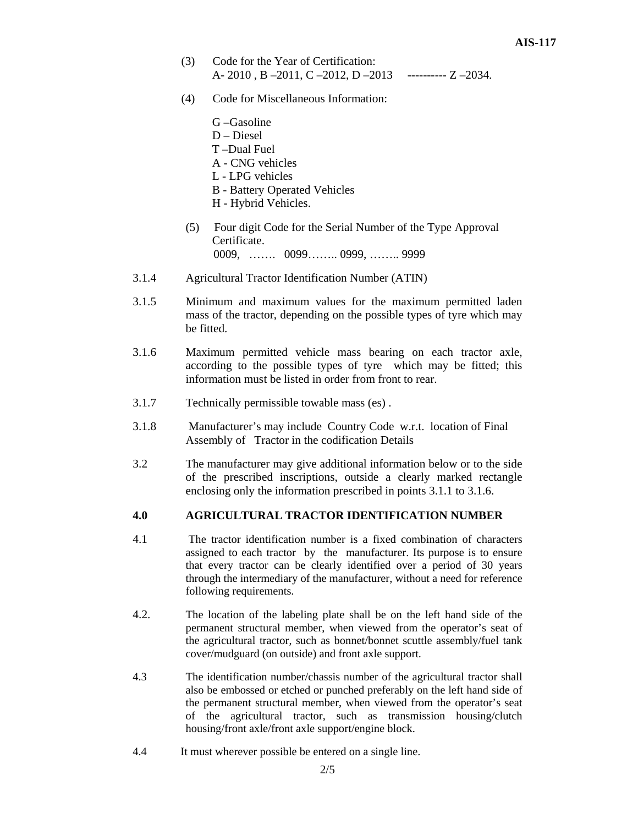- (3) Code for the Year of Certification: A- 2010 , B –2011, C –2012, D –2013---------- Z –2034.
- (4) Code for Miscellaneous Information:

|     | G-Gasoline                                                 |
|-----|------------------------------------------------------------|
|     | $D - Diesel$                                               |
|     | T-Dual Fuel                                                |
|     | A - CNG vehicles                                           |
|     | L - LPG vehicles                                           |
|     | <b>B</b> - Battery Operated Vehicles                       |
|     | H - Hybrid Vehicles.                                       |
| (5) | Four digit Code for the Serial Number of the Type Approval |
|     | Certificate.                                               |

- 0009, ……. 0099…….. 0999, …….. 9999
- 3.1.4 Agricultural Tractor Identification Number (ATIN)
- 3.1.5 Minimum and maximum values for the maximum permitted laden mass of the tractor, depending on the possible types of tyre which may be fitted.
- 3.1.6 Maximum permitted vehicle mass bearing on each tractor axle, according to the possible types of tyre which may be fitted; this information must be listed in order from front to rear.
- 3.1.7 Technically permissible towable mass (es) .
- 3.1.8 Manufacturer's may include Country Code w.r.t. location of Final Assembly of Tractor in the codification Details
- 3.2 The manufacturer may give additional information below or to the side of the prescribed inscriptions, outside a clearly marked rectangle enclosing only the information prescribed in points 3.1.1 to 3.1.6.

#### **4.0 AGRICULTURAL TRACTOR IDENTIFICATION NUMBER**

- 4.1 The tractor identification number is a fixed combination of characters assigned to each tractor by the manufacturer. Its purpose is to ensure that every tractor can be clearly identified over a period of 30 years through the intermediary of the manufacturer, without a need for reference following requirements.
- 4.2. The location of the labeling plate shall be on the left hand side of the permanent structural member, when viewed from the operator's seat of the agricultural tractor, such as bonnet/bonnet scuttle assembly/fuel tank cover/mudguard (on outside) and front axle support.
- 4.3 The identification number/chassis number of the agricultural tractor shall also be embossed or etched or punched preferably on the left hand side of the permanent structural member, when viewed from the operator's seat of the agricultural tractor, such as transmission housing/clutch housing/front axle/front axle support/engine block.
- 4.4 It must wherever possible be entered on a single line.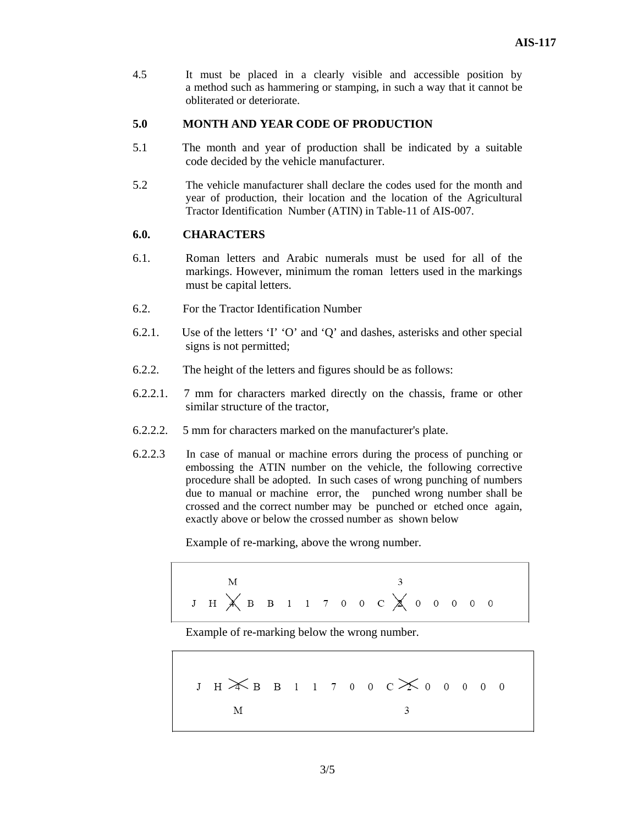4.5 It must be placed in a clearly visible and accessible position by a method such as hammering or stamping, in such a way that it cannot be obliterated or deteriorate.

#### **5.0 MONTH AND YEAR CODE OF PRODUCTION**

- 5.1 The month and year of production shall be indicated by a suitable code decided by the vehicle manufacturer.
- 5.2 The vehicle manufacturer shall declare the codes used for the month and year of production, their location and the location of the Agricultural Tractor Identification Number (ATIN) in Table-11 of AIS-007.

#### **6.0. CHARACTERS**

- 6.1. Roman letters and Arabic numerals must be used for all of the markings. However, minimum the roman letters used in the markings must be capital letters.
- 6.2. For the Tractor Identification Number
- 6.2.1. Use of the letters 'I' 'O' and 'Q' and dashes, asterisks and other special signs is not permitted;
- 6.2.2. The height of the letters and figures should be as follows:
- 6.2.2.1. 7 mm for characters marked directly on the chassis, frame or other similar structure of the tractor,
- 6.2.2.2. 5 mm for characters marked on the manufacturer's plate.
- 6.2.2.3 In case of manual or machine errors during the process of punching or embossing the ATIN number on the vehicle, the following corrective procedure shall be adopted. In such cases of wrong punching of numbers due to manual or machine error, the punched wrong number shall be crossed and the correct number may be punched or etched once again, exactly above or below the crossed number as shown below

Example of re-marking, above the wrong number.

$$
\begin{array}{c}\nM \\
J H \times B B11700 C \times 00000\n\end{array}
$$

Example of re-marking below the wrong number.

J H 
$$
\times
$$
 B B 1 1 7 0 0 C  $\times$  0 0 0 0 0  
M 3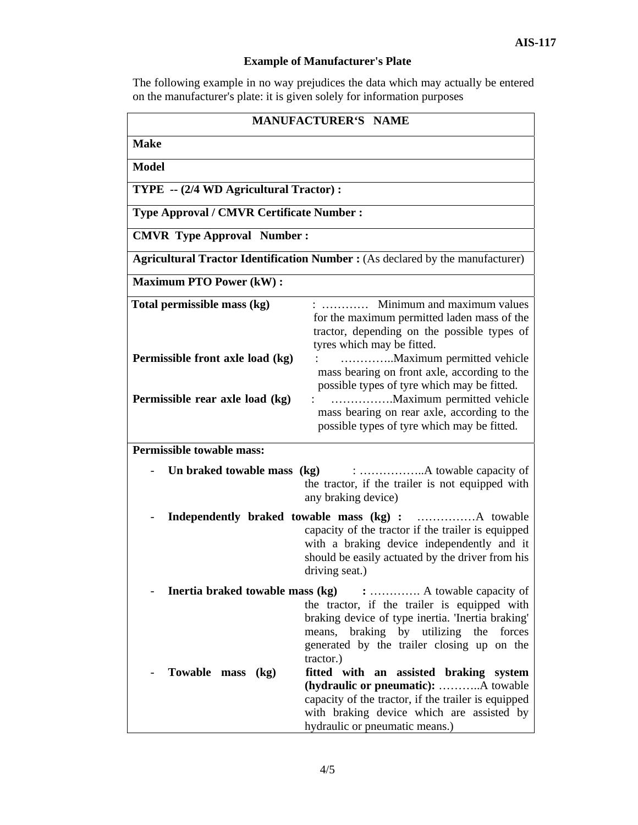### **Example of Manufacturer's Plate**

The following example in no way prejudices the data which may actually be entered on the manufacturer's plate: it is given solely for information purposes

| <b>MANUFACTURER'S NAME</b>                                                                                                                                                                                                                                                 |                                                                                                                                                                                                                                                                                                     |  |  |  |
|----------------------------------------------------------------------------------------------------------------------------------------------------------------------------------------------------------------------------------------------------------------------------|-----------------------------------------------------------------------------------------------------------------------------------------------------------------------------------------------------------------------------------------------------------------------------------------------------|--|--|--|
| <b>Make</b>                                                                                                                                                                                                                                                                |                                                                                                                                                                                                                                                                                                     |  |  |  |
| <b>Model</b>                                                                                                                                                                                                                                                               |                                                                                                                                                                                                                                                                                                     |  |  |  |
|                                                                                                                                                                                                                                                                            | TYPE -- (2/4 WD Agricultural Tractor) :                                                                                                                                                                                                                                                             |  |  |  |
| <b>Type Approval / CMVR Certificate Number:</b>                                                                                                                                                                                                                            |                                                                                                                                                                                                                                                                                                     |  |  |  |
| <b>CMVR Type Approval Number:</b>                                                                                                                                                                                                                                          |                                                                                                                                                                                                                                                                                                     |  |  |  |
|                                                                                                                                                                                                                                                                            | <b>Agricultural Tractor Identification Number :</b> (As declared by the manufacturer)                                                                                                                                                                                                               |  |  |  |
| <b>Maximum PTO Power (kW):</b>                                                                                                                                                                                                                                             |                                                                                                                                                                                                                                                                                                     |  |  |  |
| Total permissible mass (kg)                                                                                                                                                                                                                                                | $:$ Minimum and maximum values<br>for the maximum permitted laden mass of the                                                                                                                                                                                                                       |  |  |  |
| Permissible front axle load (kg)<br>Permissible rear axle load (kg)                                                                                                                                                                                                        | tractor, depending on the possible types of<br>tyres which may be fitted.<br>Maximum permitted vehicle<br>mass bearing on front axle, according to the<br>possible types of tyre which may be fitted.<br>mass bearing on rear axle, according to the<br>possible types of tyre which may be fitted. |  |  |  |
| <b>Permissible towable mass:</b>                                                                                                                                                                                                                                           |                                                                                                                                                                                                                                                                                                     |  |  |  |
| the tractor, if the trailer is not equipped with<br>any braking device)                                                                                                                                                                                                    |                                                                                                                                                                                                                                                                                                     |  |  |  |
|                                                                                                                                                                                                                                                                            | capacity of the tractor if the trailer is equipped<br>with a braking device independently and it<br>should be easily actuated by the driver from his<br>driving seat.)                                                                                                                              |  |  |  |
| <b>Inertia braked towable mass (kg)</b> :  A towable capacity of<br>the tractor, if the trailer is equipped with<br>braking device of type inertia. 'Inertia braking'<br>means, braking by utilizing the forces<br>generated by the trailer closing up on the<br>tractor.) |                                                                                                                                                                                                                                                                                                     |  |  |  |
| Towable mass (kg)                                                                                                                                                                                                                                                          | fitted with an assisted braking system<br>(hydraulic or pneumatic): A towable<br>capacity of the tractor, if the trailer is equipped<br>with braking device which are assisted by<br>hydraulic or pneumatic means.)                                                                                 |  |  |  |